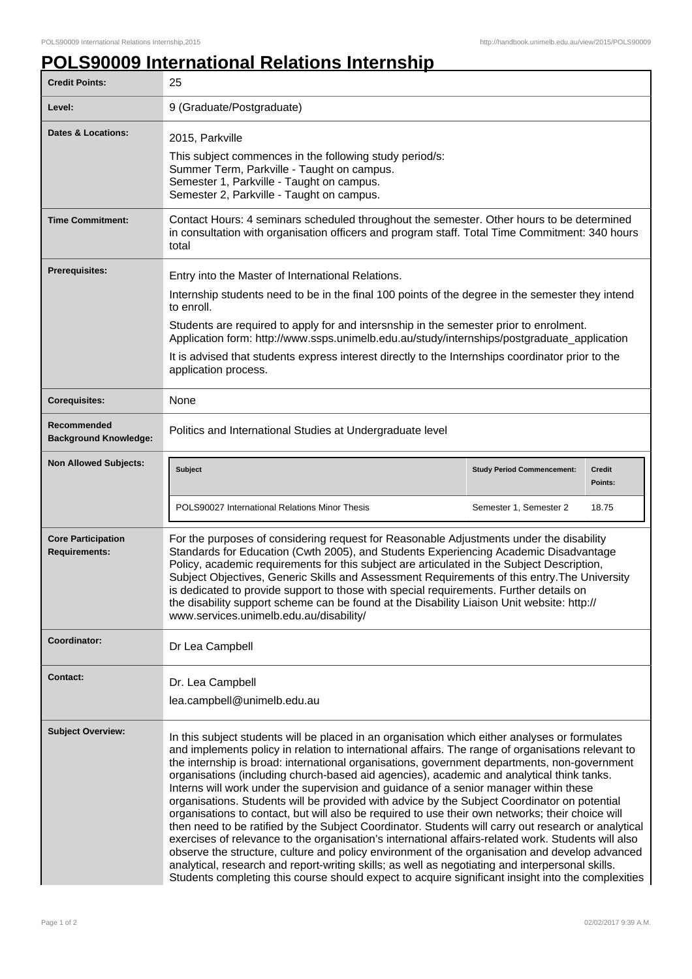## **POLS90009 International Relations Internship**

| <b>Credit Points:</b>                             | 25                                                                                                                                                                                                                                                                                                                                                                                                                                                                                                                                                                                                                                                                                                                                                                                                                                                                                                                                                                                                                                                                                                                                                                                                                       |                                   |                          |
|---------------------------------------------------|--------------------------------------------------------------------------------------------------------------------------------------------------------------------------------------------------------------------------------------------------------------------------------------------------------------------------------------------------------------------------------------------------------------------------------------------------------------------------------------------------------------------------------------------------------------------------------------------------------------------------------------------------------------------------------------------------------------------------------------------------------------------------------------------------------------------------------------------------------------------------------------------------------------------------------------------------------------------------------------------------------------------------------------------------------------------------------------------------------------------------------------------------------------------------------------------------------------------------|-----------------------------------|--------------------------|
| Level:                                            | 9 (Graduate/Postgraduate)                                                                                                                                                                                                                                                                                                                                                                                                                                                                                                                                                                                                                                                                                                                                                                                                                                                                                                                                                                                                                                                                                                                                                                                                |                                   |                          |
| <b>Dates &amp; Locations:</b>                     | 2015, Parkville<br>This subject commences in the following study period/s:<br>Summer Term, Parkville - Taught on campus.<br>Semester 1, Parkville - Taught on campus.<br>Semester 2, Parkville - Taught on campus.                                                                                                                                                                                                                                                                                                                                                                                                                                                                                                                                                                                                                                                                                                                                                                                                                                                                                                                                                                                                       |                                   |                          |
| <b>Time Commitment:</b>                           | Contact Hours: 4 seminars scheduled throughout the semester. Other hours to be determined<br>in consultation with organisation officers and program staff. Total Time Commitment: 340 hours<br>total                                                                                                                                                                                                                                                                                                                                                                                                                                                                                                                                                                                                                                                                                                                                                                                                                                                                                                                                                                                                                     |                                   |                          |
| Prerequisites:                                    | Entry into the Master of International Relations.                                                                                                                                                                                                                                                                                                                                                                                                                                                                                                                                                                                                                                                                                                                                                                                                                                                                                                                                                                                                                                                                                                                                                                        |                                   |                          |
|                                                   | Internship students need to be in the final 100 points of the degree in the semester they intend<br>to enroll.                                                                                                                                                                                                                                                                                                                                                                                                                                                                                                                                                                                                                                                                                                                                                                                                                                                                                                                                                                                                                                                                                                           |                                   |                          |
|                                                   | Students are required to apply for and intersnship in the semester prior to enrolment.<br>Application form: http://www.ssps.unimelb.edu.au/study/internships/postgraduate_application                                                                                                                                                                                                                                                                                                                                                                                                                                                                                                                                                                                                                                                                                                                                                                                                                                                                                                                                                                                                                                    |                                   |                          |
|                                                   | It is advised that students express interest directly to the Internships coordinator prior to the<br>application process.                                                                                                                                                                                                                                                                                                                                                                                                                                                                                                                                                                                                                                                                                                                                                                                                                                                                                                                                                                                                                                                                                                |                                   |                          |
| <b>Corequisites:</b>                              | None                                                                                                                                                                                                                                                                                                                                                                                                                                                                                                                                                                                                                                                                                                                                                                                                                                                                                                                                                                                                                                                                                                                                                                                                                     |                                   |                          |
| Recommended<br><b>Background Knowledge:</b>       | Politics and International Studies at Undergraduate level                                                                                                                                                                                                                                                                                                                                                                                                                                                                                                                                                                                                                                                                                                                                                                                                                                                                                                                                                                                                                                                                                                                                                                |                                   |                          |
| <b>Non Allowed Subjects:</b>                      | <b>Subject</b>                                                                                                                                                                                                                                                                                                                                                                                                                                                                                                                                                                                                                                                                                                                                                                                                                                                                                                                                                                                                                                                                                                                                                                                                           | <b>Study Period Commencement:</b> | <b>Credit</b><br>Points: |
|                                                   | POLS90027 International Relations Minor Thesis                                                                                                                                                                                                                                                                                                                                                                                                                                                                                                                                                                                                                                                                                                                                                                                                                                                                                                                                                                                                                                                                                                                                                                           | Semester 1, Semester 2            | 18.75                    |
| <b>Core Participation</b><br><b>Requirements:</b> | For the purposes of considering request for Reasonable Adjustments under the disability<br>Standards for Education (Cwth 2005), and Students Experiencing Academic Disadvantage<br>Policy, academic requirements for this subject are articulated in the Subject Description,<br>Subject Objectives, Generic Skills and Assessment Requirements of this entry. The University<br>is dedicated to provide support to those with special requirements. Further details on<br>the disability support scheme can be found at the Disability Liaison Unit website: http://<br>www.services.unimelb.edu.au/disability/                                                                                                                                                                                                                                                                                                                                                                                                                                                                                                                                                                                                         |                                   |                          |
| Coordinator:                                      | Dr Lea Campbell                                                                                                                                                                                                                                                                                                                                                                                                                                                                                                                                                                                                                                                                                                                                                                                                                                                                                                                                                                                                                                                                                                                                                                                                          |                                   |                          |
| <b>Contact:</b>                                   | Dr. Lea Campbell                                                                                                                                                                                                                                                                                                                                                                                                                                                                                                                                                                                                                                                                                                                                                                                                                                                                                                                                                                                                                                                                                                                                                                                                         |                                   |                          |
|                                                   | lea.campbell@unimelb.edu.au                                                                                                                                                                                                                                                                                                                                                                                                                                                                                                                                                                                                                                                                                                                                                                                                                                                                                                                                                                                                                                                                                                                                                                                              |                                   |                          |
| <b>Subject Overview:</b>                          | In this subject students will be placed in an organisation which either analyses or formulates<br>and implements policy in relation to international affairs. The range of organisations relevant to<br>the internship is broad: international organisations, government departments, non-government<br>organisations (including church-based aid agencies), academic and analytical think tanks.<br>Interns will work under the supervision and guidance of a senior manager within these<br>organisations. Students will be provided with advice by the Subject Coordinator on potential<br>organisations to contact, but will also be required to use their own networks; their choice will<br>then need to be ratified by the Subject Coordinator. Students will carry out research or analytical<br>exercises of relevance to the organisation's international affairs-related work. Students will also<br>observe the structure, culture and policy environment of the organisation and develop advanced<br>analytical, research and report-writing skills; as well as negotiating and interpersonal skills.<br>Students completing this course should expect to acquire significant insight into the complexities |                                   |                          |